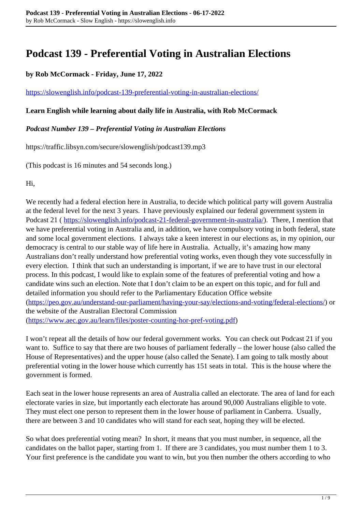# **Podcast 139 - Preferential Voting in Australian Elections**

# **by Rob McCormack - Friday, June 17, 2022**

### <https://slowenglish.info/podcast-139-preferential-voting-in-australian-elections/>

## **Learn English while learning about daily life in Australia, with Rob McCormack**

## *Podcast Number 139 – Preferential Voting in Australian Elections*

https://traffic.libsyn.com/secure/slowenglish/podcast139.mp3

(This podcast is 16 minutes and 54 seconds long.)

Hi,

We recently had a federal election here in Australia, to decide which political party will govern Australia at the federal level for the next 3 years. I have previously explained our federal government system in Podcast 21 (https://slowenglish.info/podcast-21-federal-government-in-australia/). There, I mention that we have preferential voting in Australia and, in addition, we have compulsory voting in both federal, state and some local government elections. I always take a keen interest in our elections as, in my opinion, our democracy is central to our stable way of life here in Australia. Actually, it's amazing how many Australians don't really understand how preferential voting works, even though they vote successfully in every election. I think that such an understanding is important, if we are to have trust in our electoral process. In this podcast, I would like to explain some of the features of preferential voting and how a candidate wins such an election. Note that I don't claim to be an expert on this topic, and for full and detailed information you should refer to the Parliamentary Education Office website (https://peo.gov.au/understand-our-parliament/having-your-say/elections-and-voting/federal-elections/) or the website of the Australian Electoral Commission (https://www.aec.gov.au/learn/files/poster-counting-hor-pref-voting.pdf)

I won't repeat all the details of how our federal government works. You can check out Podcast 21 if you want to. Suffice to say that there are two houses of parliament federally – the lower house (also called the House of Representatives) and the upper house (also called the Senate). I am going to talk mostly about preferential voting in the lower house which currently has 151 seats in total. This is the house where the government is formed.

Each seat in the lower house represents an area of Australia called an electorate. The area of land for each electorate varies in size, but importantly each electorate has around 90,000 Australians eligible to vote. They must elect one person to represent them in the lower house of parliament in Canberra. Usually, there are between 3 and 10 candidates who will stand for each seat, hoping they will be elected.

So what does preferential voting mean? In short, it means that you must number, in sequence, all the candidates on the ballot paper, starting from 1. If there are 3 candidates, you must number them 1 to 3. Your first preference is the candidate you want to win, but you then number the others according to who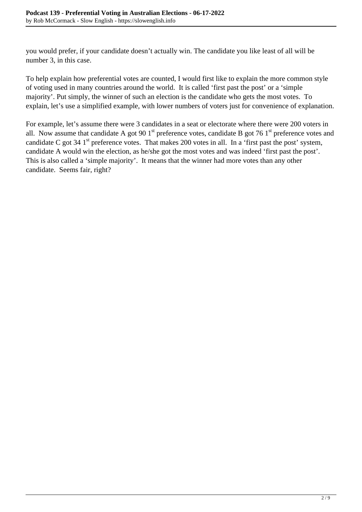you would prefer, if your candidate doesn't actually win. The candidate you like least of all will be number 3, in this case.

To help explain how preferential votes are counted, I would first like to explain the more common style of voting used in many countries around the world. It is called 'first past the post' or a 'simple majority'. Put simply, the winner of such an election is the candidate who gets the most votes. To explain, let's use a simplified example, with lower numbers of voters just for convenience of explanation.

For example, let's assume there were 3 candidates in a seat or electorate where there were 200 voters in all. Now assume that candidate A got 90 1<sup>st</sup> preference votes, candidate B got 76 1<sup>st</sup> preference votes and candidate C got 34  $1<sup>st</sup>$  preference votes. That makes 200 votes in all. In a 'first past the post' system, candidate A would win the election, as he/she got the most votes and was indeed 'first past the post'. This is also called a 'simple majority'. It means that the winner had more votes than any other candidate. Seems fair, right?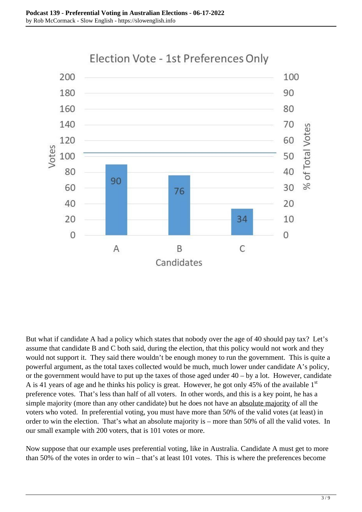

But what if candidate A had a policy which states that nobody over the age of 40 should pay tax? Let's assume that candidate B and C both said, during the election, that this policy would not work and they would not support it. They said there wouldn't be enough money to run the government. This is quite a powerful argument, as the total taxes collected would be much, much lower under candidate A's policy, or the government would have to put up the taxes of those aged under 40 – by a lot. However, candidate A is 41 years of age and he thinks his policy is great. However, he got only 45% of the available  $1<sup>st</sup>$ preference votes. That's less than half of all voters. In other words, and this is a key point, he has a simple majority (more than any other candidate) but he does not have an absolute majority of all the voters who voted. In preferential voting, you must have more than 50% of the valid votes (at least) in order to win the election. That's what an absolute majority is – more than 50% of all the valid votes. In our small example with 200 voters, that is 101 votes or more.

Now suppose that our example uses preferential voting, like in Australia. Candidate A must get to more than 50% of the votes in order to win – that's at least 101 votes. This is where the preferences become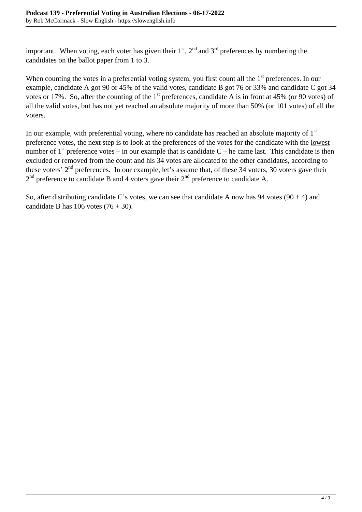important. When voting, each voter has given their  $1<sup>st</sup>$ ,  $2<sup>nd</sup>$  and  $3<sup>rd</sup>$  preferences by numbering the candidates on the ballot paper from 1 to 3.

When counting the votes in a preferential voting system, you first count all the 1<sup>st</sup> preferences. In our example, candidate A got 90 or 45% of the valid votes, candidate B got 76 or 33% and candidate C got 34 votes or 17%. So, after the counting of the  $1<sup>st</sup>$  preferences, candidate A is in front at 45% (or 90 votes) of all the valid votes, but has not yet reached an absolute majority of more than 50% (or 101 votes) of all the voters.

In our example, with preferential voting, where no candidate has reached an absolute majority of  $1<sup>st</sup>$ preference votes, the next step is to look at the preferences of the votes for the candidate with the lowest number of  $1<sup>st</sup>$  preference votes – in our example that is candidate C – he came last. This candidate is then excluded or removed from the count and his 34 votes are allocated to the other candidates, according to these voters' 2<sup>nd</sup> preferences. In our example, let's assume that, of these 34 voters, 30 voters gave their  $2<sup>nd</sup>$  preference to candidate B and 4 voters gave their  $2<sup>nd</sup>$  preference to candidate A.

So, after distributing candidate C's votes, we can see that candidate A now has 94 votes  $(90 + 4)$  and candidate B has  $106$  votes  $(76 + 30)$ .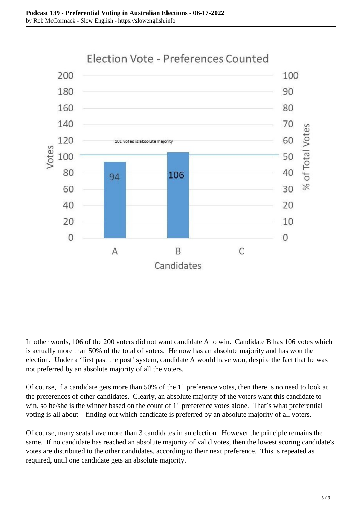

In other words, 106 of the 200 voters did not want candidate A to win. Candidate B has 106 votes which is actually more than 50% of the total of voters. He now has an absolute majority and has won the election. Under a 'first past the post' system, candidate A would have won, despite the fact that he was not preferred by an absolute majority of all the voters.

Of course, if a candidate gets more than 50% of the 1<sup>st</sup> preference votes, then there is no need to look at the preferences of other candidates. Clearly, an absolute majority of the voters want this candidate to win, so he/she is the winner based on the count of  $1<sup>st</sup>$  preference votes alone. That's what preferential voting is all about – finding out which candidate is preferred by an absolute majority of all voters.

Of course, many seats have more than 3 candidates in an election. However the principle remains the same. If no candidate has reached an absolute majority of valid votes, then the lowest scoring candidate's votes are distributed to the other candidates, according to their next preference. This is repeated as required, until one candidate gets an absolute majority.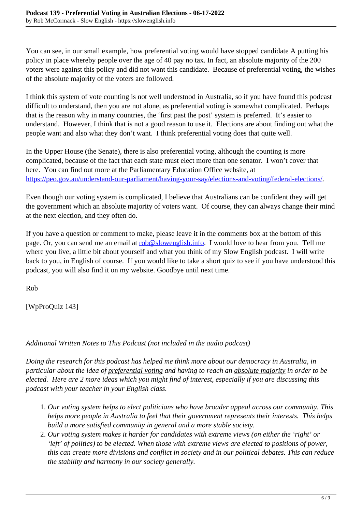You can see, in our small example, how preferential voting would have stopped candidate A putting his policy in place whereby people over the age of 40 pay no tax. In fact, an absolute majority of the 200 voters were against this policy and did not want this candidate. Because of preferential voting, the wishes of the absolute majority of the voters are followed.

I think this system of vote counting is not well understood in Australia, so if you have found this podcast difficult to understand, then you are not alone, as preferential voting is somewhat complicated. Perhaps that is the reason why in many countries, the 'first past the post' system is preferred. It's easier to understand. However, I think that is not a good reason to use it. Elections are about finding out what the people want and also what they don't want. I think preferential voting does that quite well.

In the Upper House (the Senate), there is also preferential voting, although the counting is more complicated, because of the fact that each state must elect more than one senator. I won't cover that here. You can find out more at the Parliamentary Education Office website, at https://peo.gov.au/understand-our-parliament/having-your-say/elections-and-voting/federal-elections/.

Even though our voting system is complicated, I believe that Australians can be confident they will get the government which an absolute majority of voters want. Of course, they can always change their mind at the next election, and they often do.

If you have a question or comment to make, please leave it in the comments box at the bottom of this page. Or, you can send me an email at rob@slowenglish.info. I would love to hear from you. Tell me where you live, a little bit about yourself and what you think of my Slow English podcast. I will write back to you, in English of course. If you would like to take a short quiz to see if you have understood this podcast, you will also find it on my website. Goodbye until next time.

Rob

[WpProQuiz 143]

# *Additional Written Notes to This Podcast (not included in the audio podcast)*

*Doing the research for this podcast has helped me think more about our democracy in Australia, in particular about the idea of preferential voting and having to reach an absolute majority in order to be elected. Here are 2 more ideas which you might find of interest, especially if you are discussing this podcast with your teacher in your English class.* 

- 1. *Our voting system helps to elect politicians who have broader appeal across our community. This helps more people in Australia to feel that their government represents their interests. This helps build a more satisfied community in general and a more stable society.*
- 2. *Our voting system makes it harder for candidates with extreme views (on either the 'right' or 'left' of politics) to be elected. When those with extreme views are elected to positions of power, this can create more divisions and conflict in society and in our political debates. This can reduce the stability and harmony in our society generally.*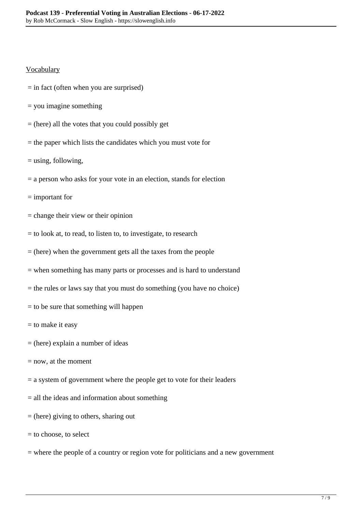### **Vocabulary**

- $=$  in fact (often when you are surprised)
- = you imagine something
- $=$  (here) all the votes that you could possibly get
- = the paper which lists the candidates which you must vote for
- = using, following,
- $=$  a person who asks for your vote in an election, stands for election
- = important for
- = change their view or their opinion
- = to look at, to read, to listen to, to investigate, to research
- $=$  (here) when the government gets all the taxes from the people
- = when something has many parts or processes and is hard to understand
- = the rules or laws say that you must do something (you have no choice)
- $=$  to be sure that something will happen
- $=$  to make it easy
- $=$  (here) explain a number of ideas
- $=$  now, at the moment
- $=$  a system of government where the people get to vote for their leaders
- $=$  all the ideas and information about something
- = (here) giving to others, sharing out
- = to choose, to select
- = where the people of a country or region vote for politicians and a new government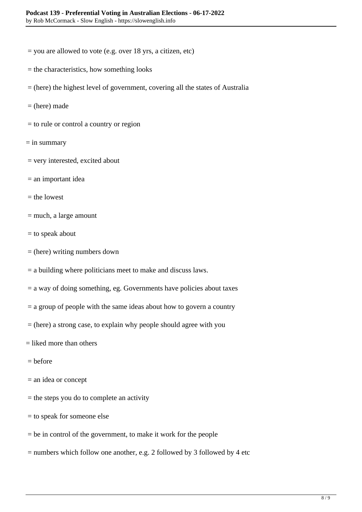- $=$  you are allowed to vote (e.g. over 18 yrs, a citizen, etc)
- = the characteristics, how something looks
- = (here) the highest level of government, covering all the states of Australia
- $=$  (here) made
- = to rule or control a country or region
- $=$  in summary
- = very interested, excited about
- = an important idea
- $=$  the lowest
- = much, a large amount
- = to speak about
- = (here) writing numbers down
- = a building where politicians meet to make and discuss laws.
- $=$  a way of doing something, eg. Governments have policies about taxes
- $=$  a group of people with the same ideas about how to govern a country
- $=$  (here) a strong case, to explain why people should agree with you
- $=$  liked more than others
- $=$  before
- = an idea or concept
- $=$  the steps you do to complete an activity
- = to speak for someone else
- = be in control of the government, to make it work for the people
- = numbers which follow one another, e.g. 2 followed by 3 followed by 4 etc